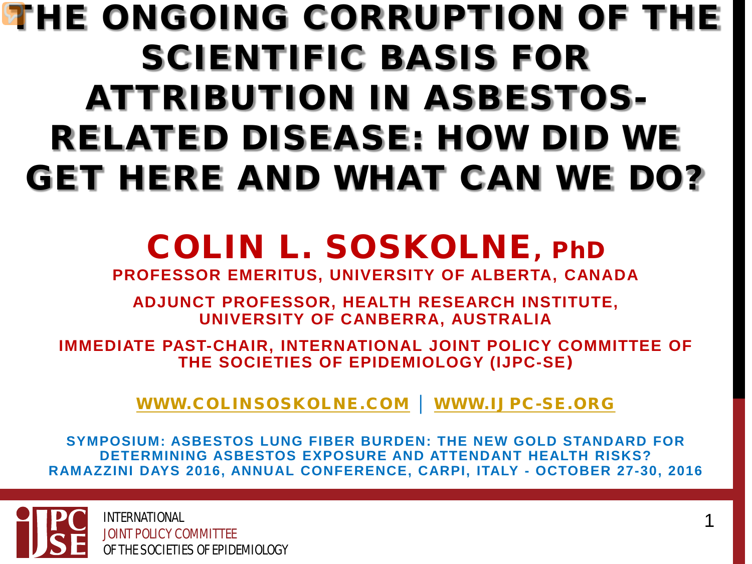#### THE ONGOING CORRUPTION OF THE SCIENTIFIC BASIS FOR ATTRIBUTION IN ASBESTOS-RELATED DISEASE: HOW DID WE GET HERE AND WHAT CAN WE DO?

#### COLIN L. SOSKOLNE, PhD

**PROFESSOR EMERITUS, UNIVERSITY OF ALBERTA, CANADA**

**ADJUNCT PROFESSOR, HEALTH RESEARCH INSTITUTE, UNIVERSITY OF CANBERRA, AUSTRALIA**

**IMMEDIATE PAST-CHAIR, INTERNATIONAL JOINT POLICY COMMITTEE OF THE SOCIETIES OF EPIDEMIOLOGY (IJPC-SE**)

[WWW.COLINSOSKOLNE.COM](http://www.colinsoskolne.com/) │ [WWW.IJPC-SE.ORG](http://www.ijpc-se.org/)

**SYMPOSIUM: ASBESTOS LUNG FIBER BURDEN: THE NEW GOLD STANDARD FOR DETERMINING ASBESTOS EXPOSURE AND ATTENDANT HEALTH RISKS? RAMAZZINI DAYS 2016, ANNUAL CONFERENCE, CARPI, ITALY - OCTOBER 27-30, 2016** 

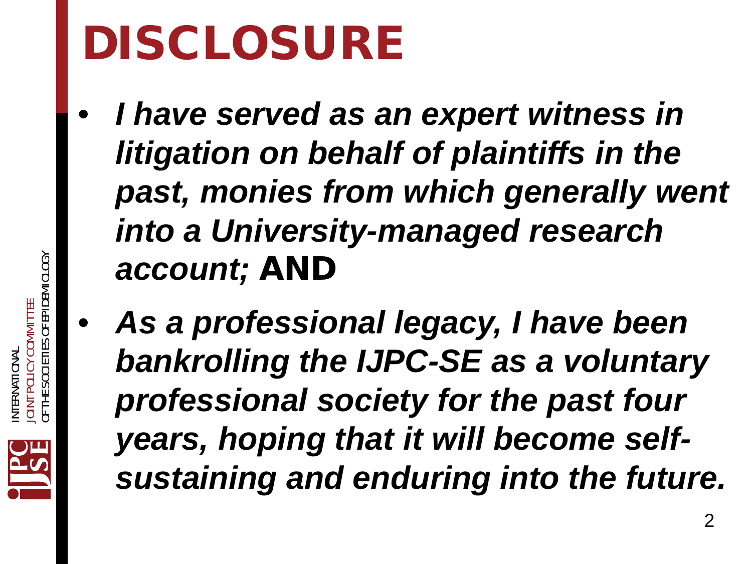# DISCLOSURE

- *I have served as an expert witness in litigation on behalf of plaintiffs in the past, monies from which generally went into a University-managed research account;* AND
	- *As a professional legacy, I have been bankrolling the IJPC-SE as a voluntary professional society for the past four years, hoping that it will become selfsustaining and enduring into the future.*

 $\mathcal{P}$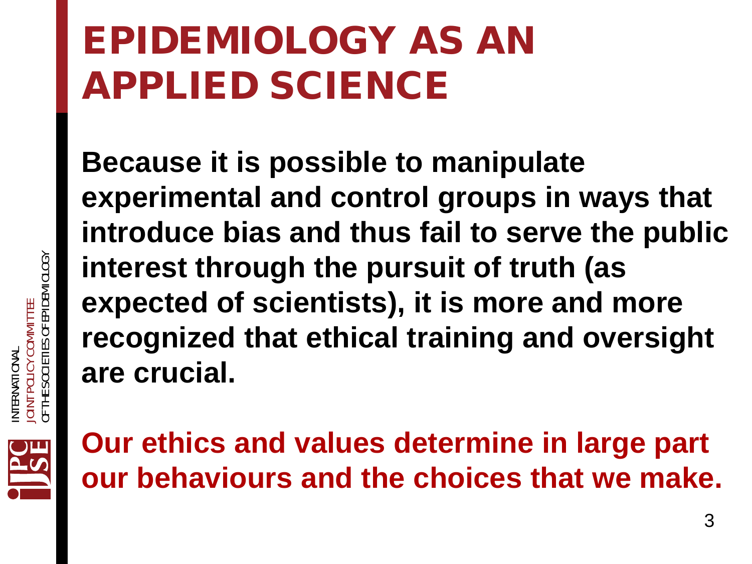#### EPIDEMIOLOGY AS AN APPLIED SCIENCE

**Because it is possible to manipulate experimental and control groups in ways that introduce bias and thus fail to serve the public interest through the pursuit of truth (as expected of scientists), it is more and more recognized that ethical training and oversight are crucial.** 





**Our ethics and values determine in large part our behaviours and the choices that we make.**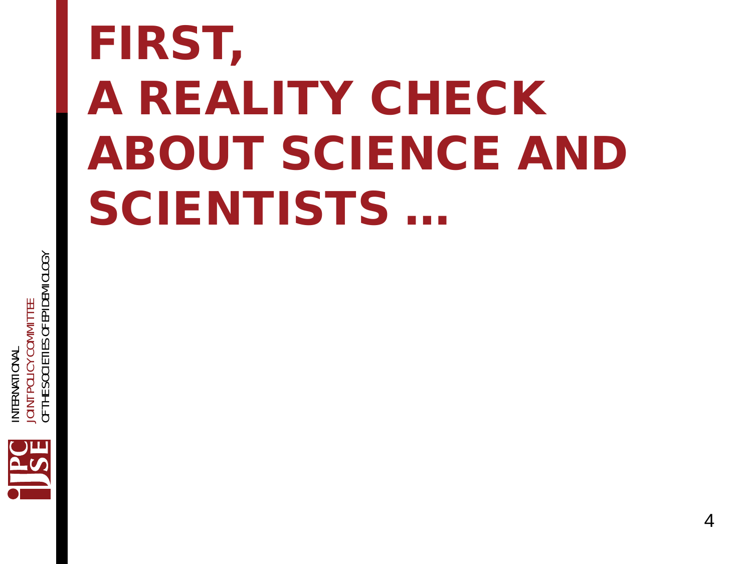# FIRST, A REALITY CHECK ABOUT SCIENCE AND SCIENTISTS …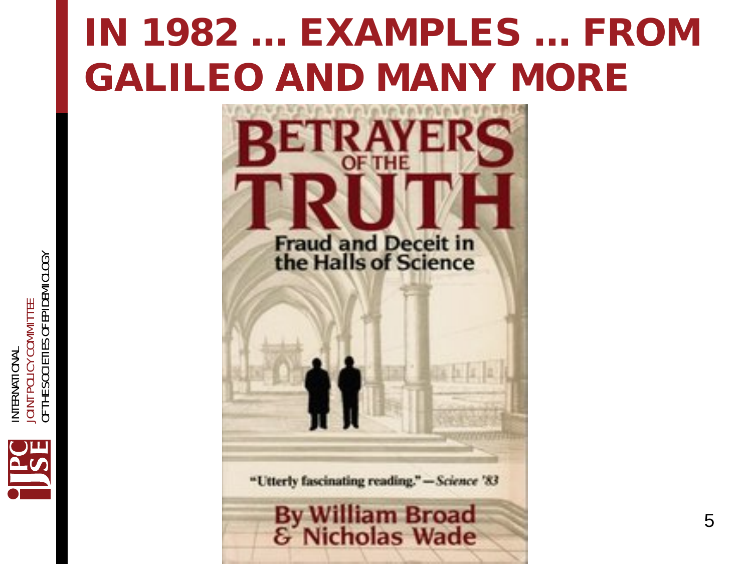# IN 1982 … EXAMPLES … FROM GALILEO AND MANY MORE



"Utterly fascinating reading." - Science '83

# By William Broad<br>& Nicholas Wade

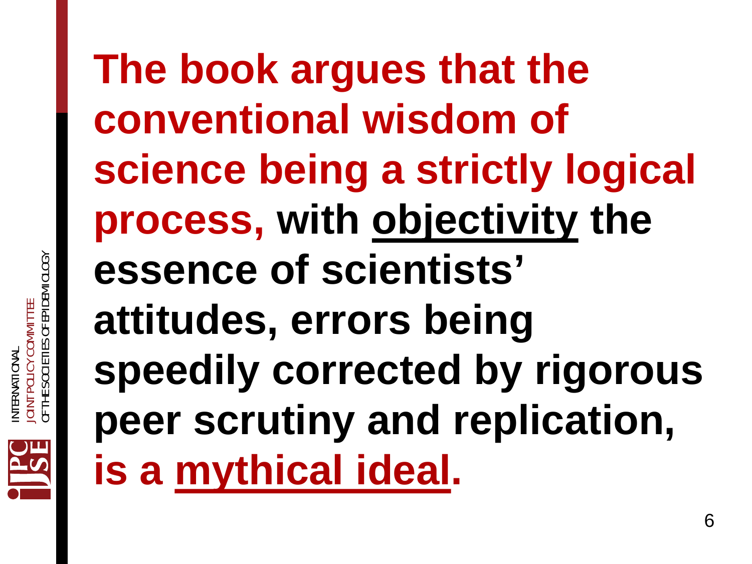

**The book argues that the conventional wisdom of science being a strictly logical process, with objectivity the essence of scientists' attitudes, errors being speedily corrected by rigorous peer scrutiny and replication, is a mythical ideal.**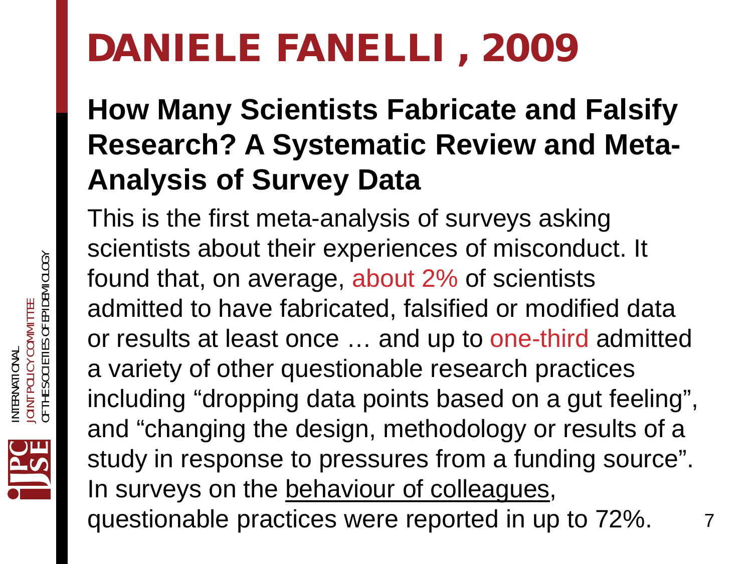#### DANIELE FANELLI , 2009

#### **How Many Scientists Fabricate and Falsify Research? A Systematic Review and Meta-Analysis of Survey Data**

7 This is the first meta-analysis of surveys asking scientists about their experiences of misconduct. It found that, on average, about 2% of scientists admitted to have fabricated, falsified or modified data or results at least once … and up to one-third admitted a variety of other questionable research practices including "dropping data points based on a gut feeling", and "changing the design, methodology or results of a study in response to pressures from a funding source". In surveys on the behaviour of colleagues, questionable practices were reported in up to 72%.

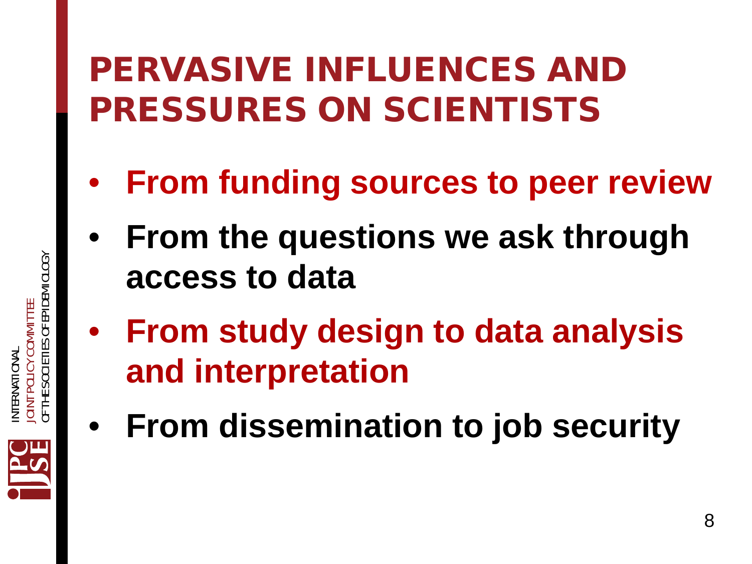#### PERVASIVE INFLUENCES AND PRESSURES ON SCIENTISTS

- **From funding sources to peer review**
- **From the questions we ask through access to data**
- **From study design to data analysis and interpretation**
- **From dissemination to job security**

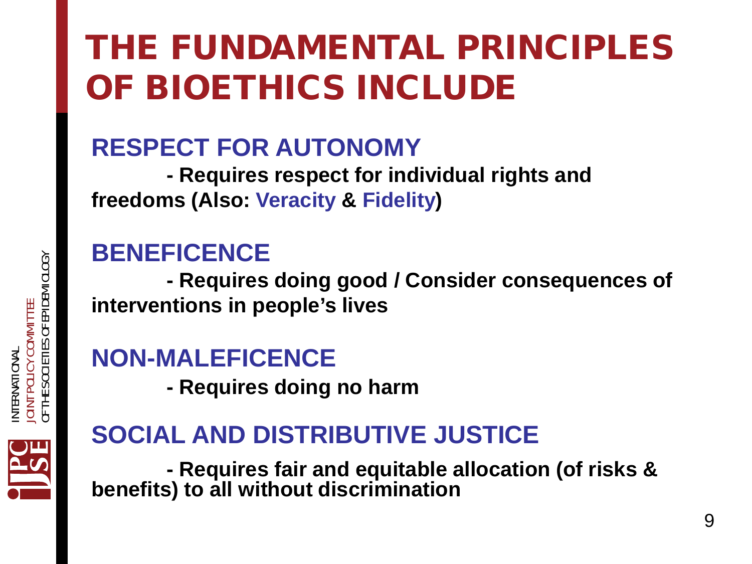#### THE FUNDAMENTAL PRINCIPLES OF BIOETHICS INCLUDE

#### **RESPECT FOR AUTONOMY**

**- Requires respect for individual rights and freedoms (Also: Veracity & Fidelity)**

#### **BENEFICENCE**

**- Requires doing good / Consider consequences of interventions in people's lives**

#### **NON-MALEFICENCE**

**- Requires doing no harm**

#### **SOCIAL AND DISTRIBUTIVE JUSTICE**

**- Requires fair and equitable allocation (of risks & benefits) to all without discrimination**

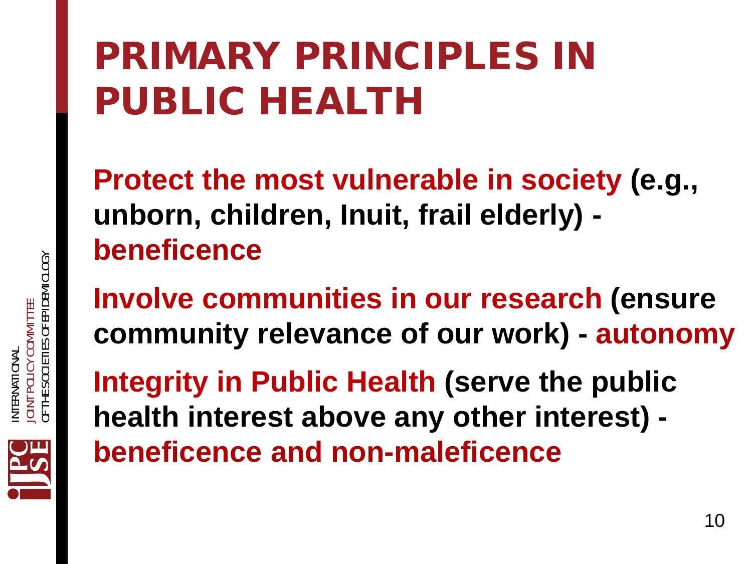# PRIMARY PRINCIPLES IN PUBLIC HEALTH

**Protect the most vulnerable in society (e.g., unborn, children, Inuit, frail elderly) beneficence**

**Involve communities in our research (ensure community relevance of our work) - autonomy**

**Integrity in Public Health (serve the public health interest above any other interest) beneficence and non-maleficence**

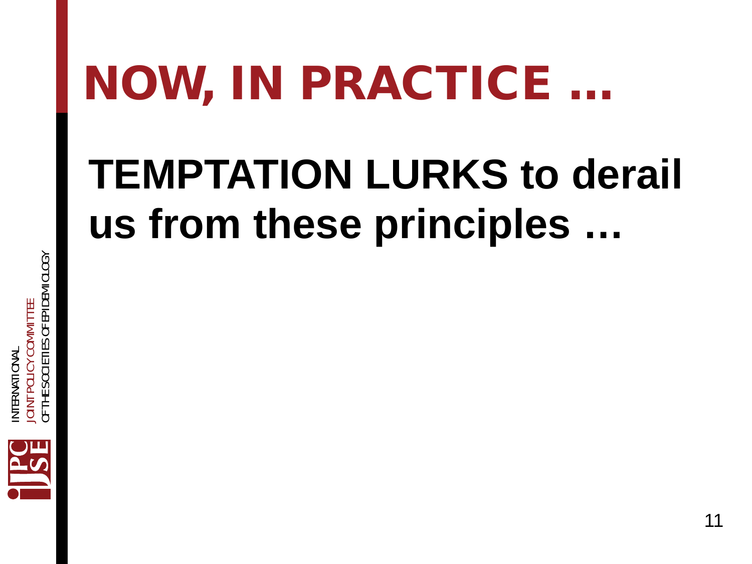# NOW, IN PRACTICE …

# **TEMPTATION LURKS to derail us from these principles …**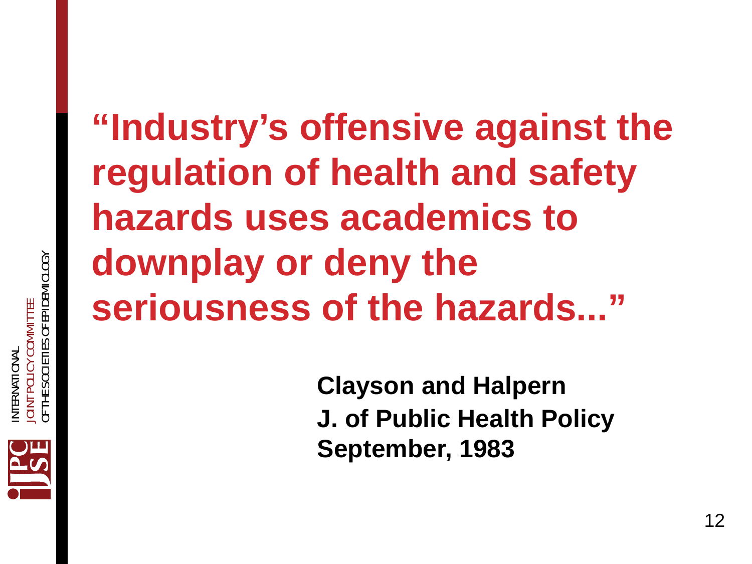#### **"Industry's offensive against the regulation of health and safety hazards uses academics to downplay or deny the seriousness of the hazards..."**

**Clayson and Halpern J. of Public Health Policy September, 1983**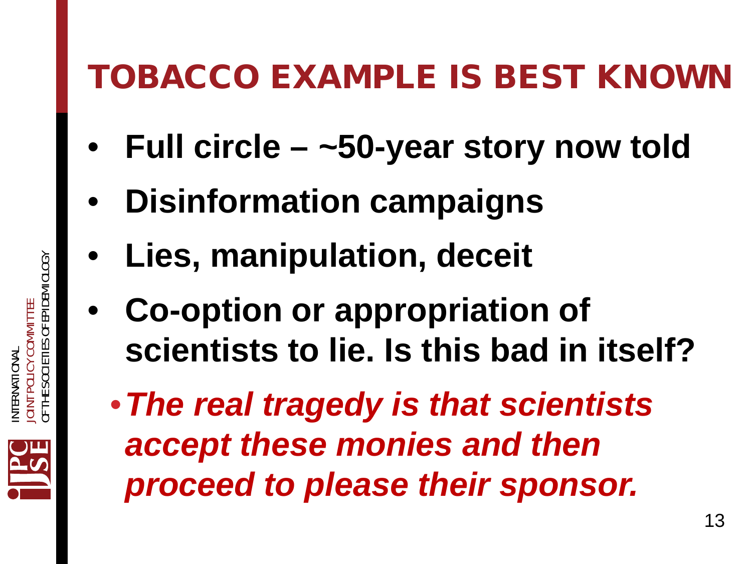#### TOBACCO EXAMPLE IS BEST KNOWN

- **Full circle –** *~***50-year story now told**
- **Disinformation campaigns**
- **Lies, manipulation, deceit**
- **Co-option or appropriation of scientists to lie. Is this bad in itself?**
	- •*The real tragedy is that scientists accept these monies and then proceed to please their sponsor.*

INTERNATIONAL

VTERNATIONAI

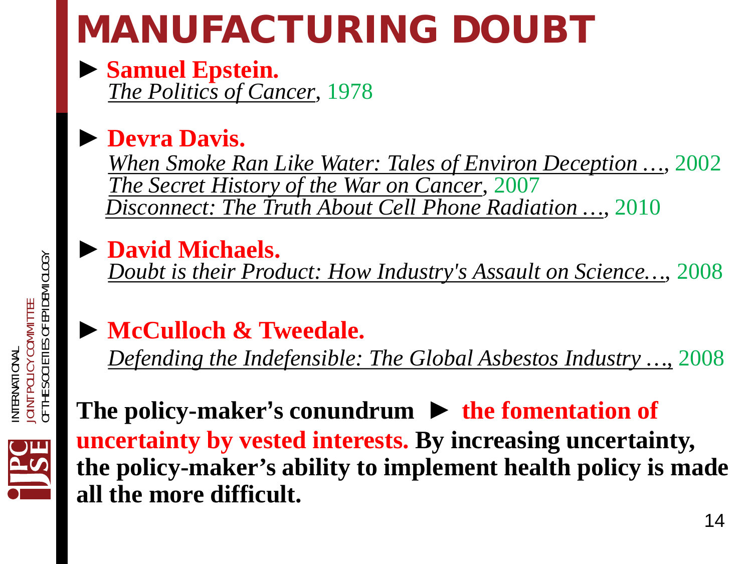# MANUFACTURING DOUBT

**► Samuel Epstein.** *The Politics of Cancer*, 1978

#### **► Devra Davis.**

*When Smoke Ran Like Water: Tales of Environ Deception …,* 2002 *The Secret History of the War on Cancer*, 2007 *Disconnect: The Truth About Cell Phone Radiation …*, 2010

**► David Michaels.** *Doubt is their Product: How Industry's Assault on Science…*, 2008

#### **► McCulloch & Tweedale.**

*Defending the Indefensible: The Global Asbestos Industry …,* 2008

#### **The policy-maker's conundrum** *►* **the fomentation of uncertainty by vested interests. By increasing uncertainty, the policy-maker's ability to implement health policy is made all the more difficult.**

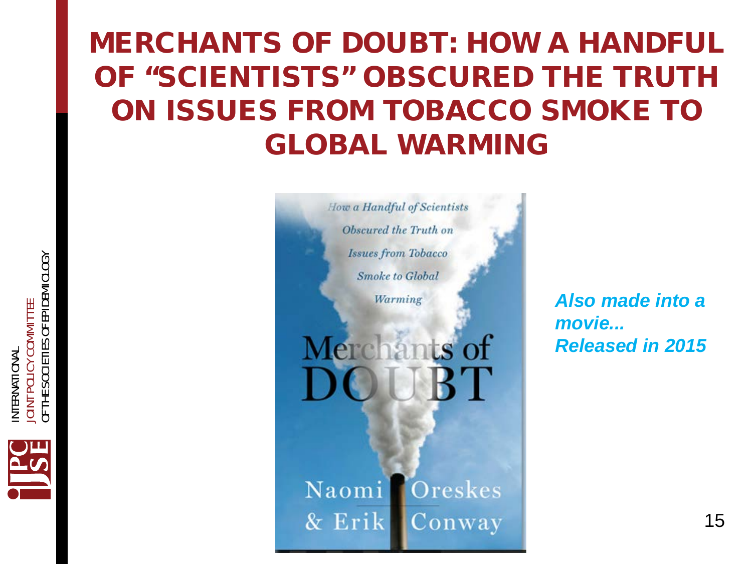#### MERCHANTS OF DOUBT: HOW A HANDFUL OF "SCIENTISTS" OBSCURED THE TRUTH ON ISSUES FROM TOBACCO SMOKE TO GLOBAL WARMING



*Also made into a movie... Released in 2015*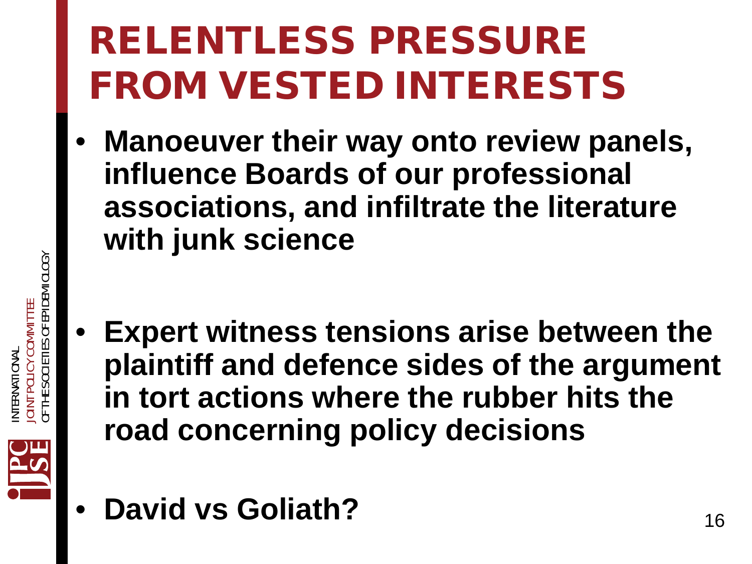# RELENTLESS PRESSURE FROM VESTED INTERESTS

- **Manoeuver their way onto review panels, influence Boards of our professional associations, and infiltrate the literature with junk science**
- **Expert witness tensions arise between the plaintiff and defence sides of the argument in tort actions where the rubber hits the road concerning policy decisions**



INTERNATIONAL

VTERNATIONAI

JOINT POLICY COMMITTEE

DINT POLICY COMMITTE

OF THE SOCIETIES OF EPIDEMIOLOGY

ご<br>三

SOCIETIES OF EPIDEMIOLOGY

**David vs Goliath?** 16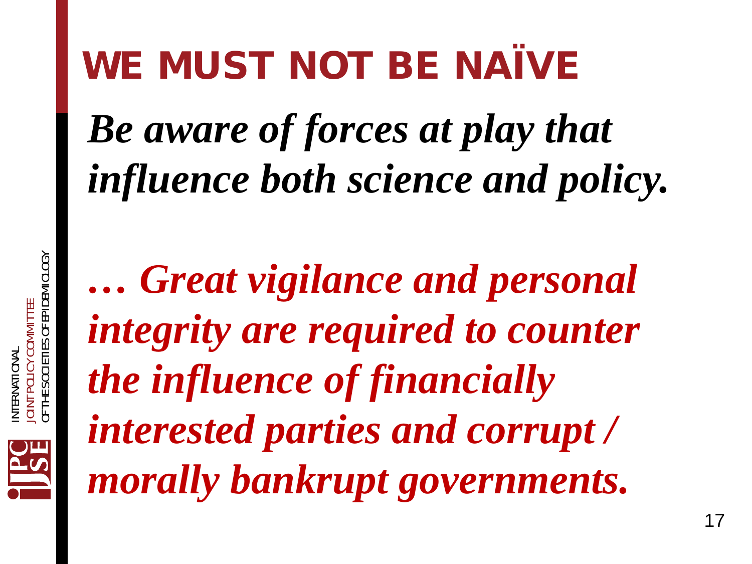#### WE MUST NOT BE NAÏVE

*Be aware of forces at play that influence both science and policy.* 

*… Great vigilance and personal integrity are required to counter the influence of financially interested parties and corrupt / morally bankrupt governments.*

INTERNATIONAL

JOINT POLICY COMMITTEE

**DINT POLICY COMMI JTERNATIONA** 

OF THE SOCIETIES OF EPIDEMIOLOGY

SOCIETIES OF EPIDEMIOLOGY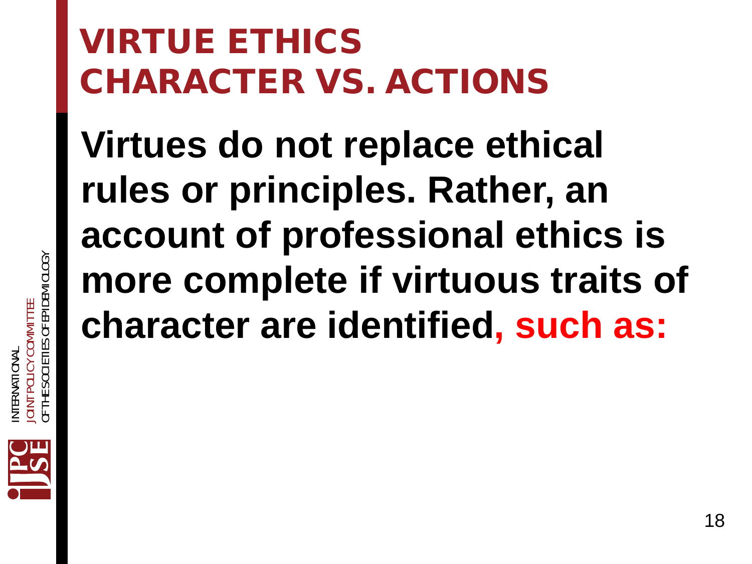#### VIRTUE ETHICS CHARACTER VS. ACTIONS

**Virtues do not replace ethical rules or principles. Rather, an account of professional ethics is more complete if virtuous traits of character are identified, such as:**

OF THE SOCIETIES OF EPIDEMIOLOGY SOCIETIES OF EPIDEMIOLOGY JOINT POLICY COMMITTEE DINT POLICY COMMITTE INTERNATIONAL NTERNATIONA OF THE 3

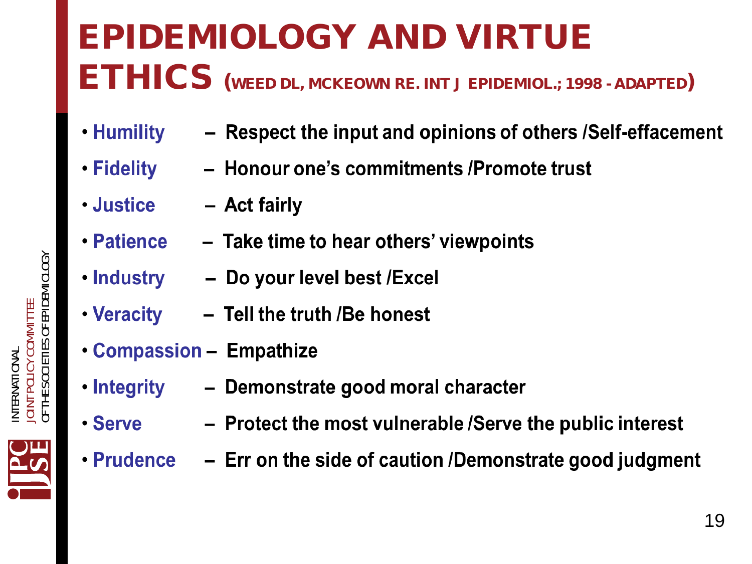#### EPIDEMIOLOGY AND VIRTUE ETHICS (WEED DL, MCKEOWN RE. INT J EPIDEMIOL.; 1998 - ADAPTED)

- Humility - Respect the input and opinions of others /Self-effacement
- Honour one's commitments /Promote trust **・Fidelity**
- Justice - Act fairly
- Patience - Take time to hear others' viewpoints
- . Industry Do your level best / Excel
- Veracity - Tell the truth /Be honest
- **Compassion Empathize**
- ∙ Integrity - Demonstrate good moral character
- $\cdot$  Serve - Protect the most vulnerable /Serve the public interest
- 
- $\cdot$  Prudence  $-$  Err on the side of caution /Demonstrate good judgment

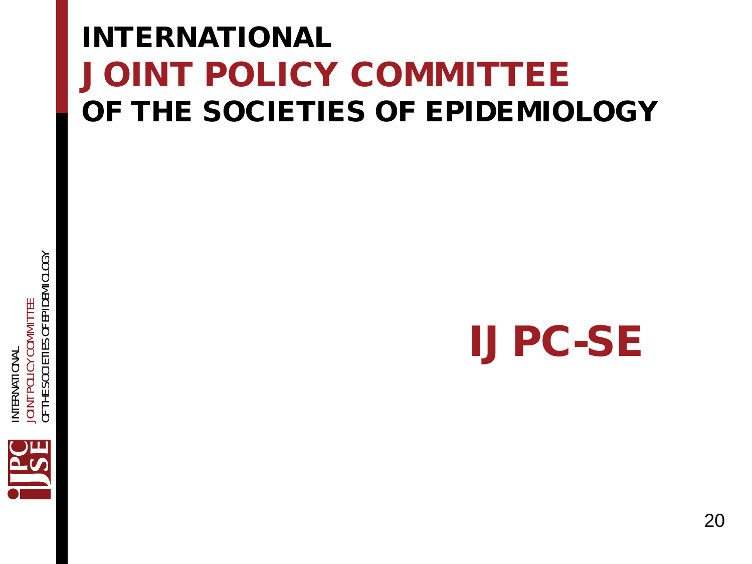#### INTERNATIONAL JOINT POLICY COMMITTEE OF THE SOCIETIES OF EPIDEMIOLOGY



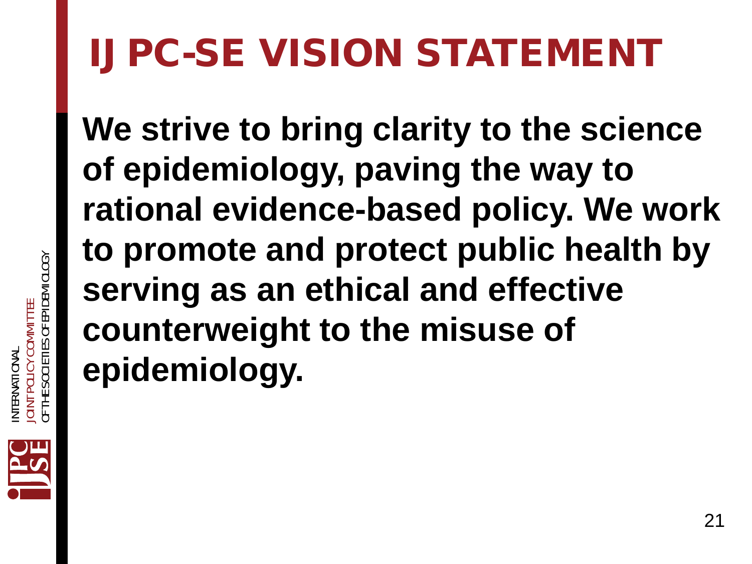# IJPC-SE VISION STATEMENT

**We strive to bring clarity to the science of epidemiology, paving the way to rational evidence-based policy. We work to promote and protect public health by serving as an ethical and effective counterweight to the misuse of epidemiology.**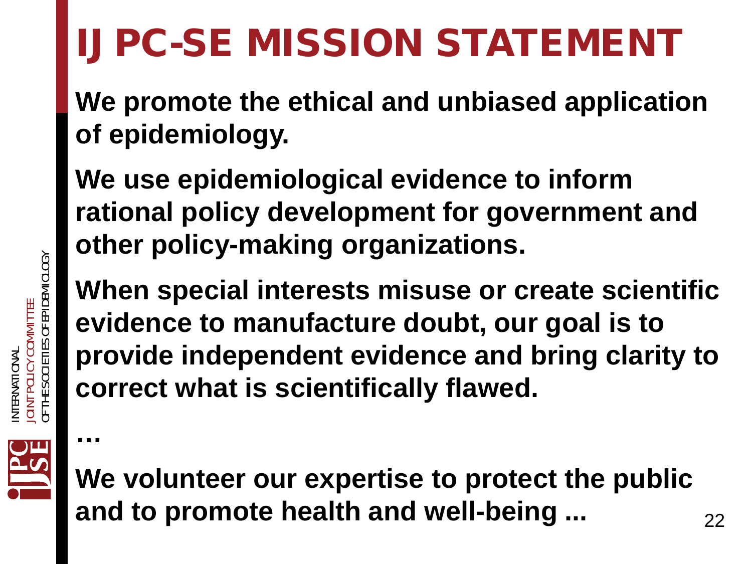# IJPC-SE MISSION STATEMENT

**We promote the ethical and unbiased application of epidemiology.** 

**We use epidemiological evidence to inform rational policy development for government and other policy-making organizations.** 

**When special interests misuse or create scientific evidence to manufacture doubt, our goal is to provide independent evidence and bring clarity to correct what is scientifically flawed.** 



**…**

**We volunteer our expertise to protect the public**  and to promote health and well-being ... **223**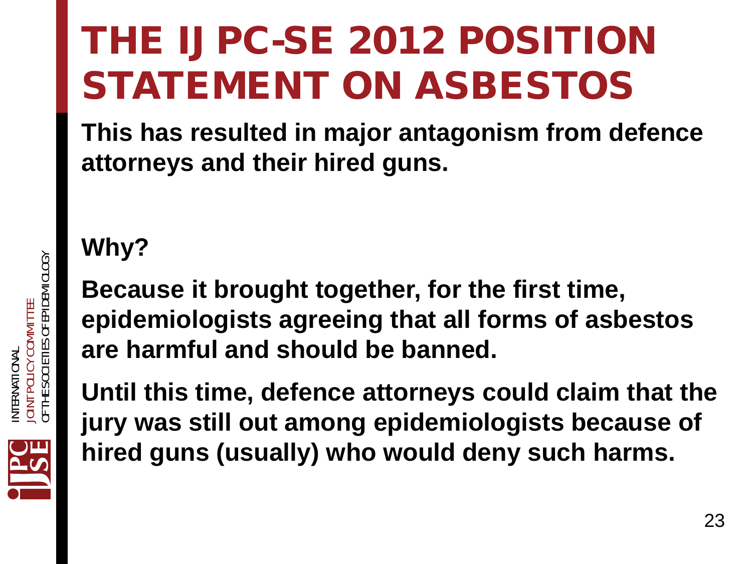# THE IJPC-SE 2012 POSITION STATEMENT ON ASBESTOS

**This has resulted in major antagonism from defence attorneys and their hired guns.** 

**Why?**

**Because it brought together, for the first time, epidemiologists agreeing that all forms of asbestos are harmful and should be banned.**

**Until this time, defence attorneys could claim that the jury was still out among epidemiologists because of hired guns (usually) who would deny such harms.** 

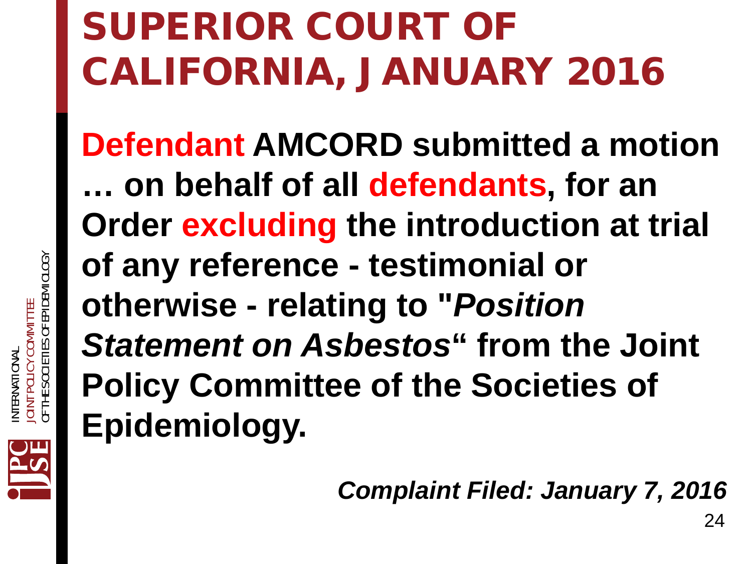# SUPERIOR COURT OF CALIFORNIA, JANUARY 2016

**Defendant AMCORD submitted a motion … on behalf of all defendants, for an Order excluding the introduction at trial of any reference - testimonial or otherwise - relating to "***Position Statement on Asbestos***" from the Joint Policy Committee of the Societies of Epidemiology.**

*Complaint Filed: January 7, 2016*

24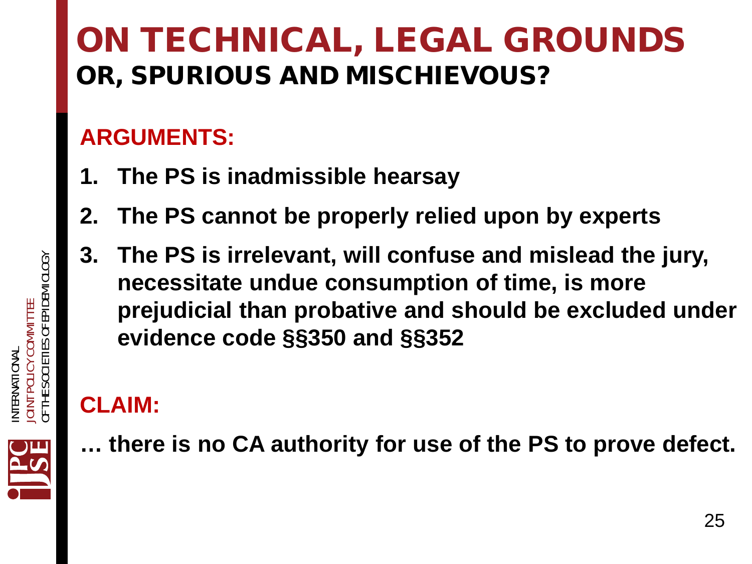#### ON TECHNICAL, LEGAL GROUNDS OR, SPURIOUS AND MISCHIEVOUS?

#### **ARGUMENTS:**

- **1. The PS is inadmissible hearsay**
- **2. The PS cannot be properly relied upon by experts**
- **3. The PS is irrelevant, will confuse and mislead the jury, necessitate undue consumption of time, is more prejudicial than probative and should be excluded under evidence code §§350 and §§352**

#### **CLAIM:**

**… there is no CA authority for use of the PS to prove defect.**



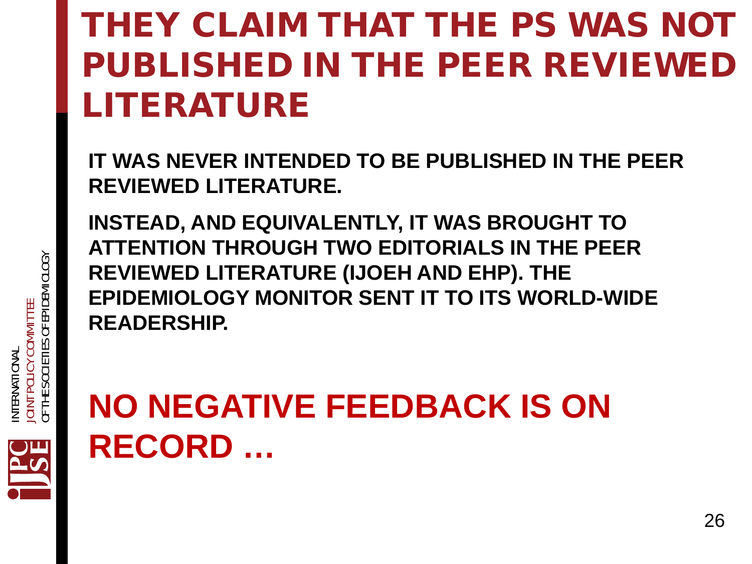#### THEY CLAIM THAT THE PS WAS NOT PUBLISHED IN THE PEER REVIEWED LITERATURE

**IT WAS NEVER INTENDED TO BE PUBLISHED IN THE PEER REVIEWED LITERATURE.** 

**INSTEAD, AND EQUIVALENTLY, IT WAS BROUGHT TO ATTENTION THROUGH TWO EDITORIALS IN THE PEER REVIEWED LITERATURE (IJOEH AND EHP). THE EPIDEMIOLOGY MONITOR SENT IT TO ITS WORLD-WIDE READERSHIP.** 

#### **NO NEGATIVE FEEDBACK IS ON RECORD …**

26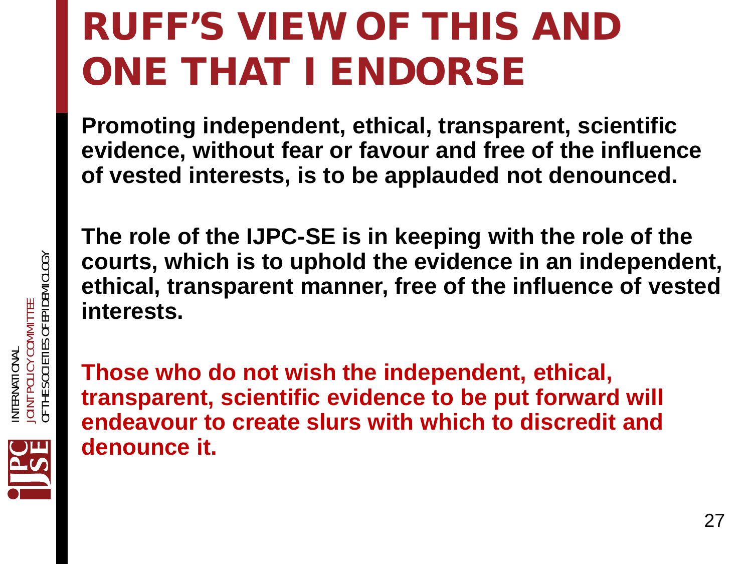# RUFF'S VIEW OF THIS AND ONE THAT I ENDORSE

**Promoting independent, ethical, transparent, scientific evidence, without fear or favour and free of the influence of vested interests, is to be applauded not denounced.**

**The role of the IJPC-SE is in keeping with the role of the courts, which is to uphold the evidence in an independent, ethical, transparent manner, free of the influence of vested interests.**

**Those who do not wish the independent, ethical, transparent, scientific evidence to be put forward will endeavour to create slurs with which to discredit and denounce it.** 

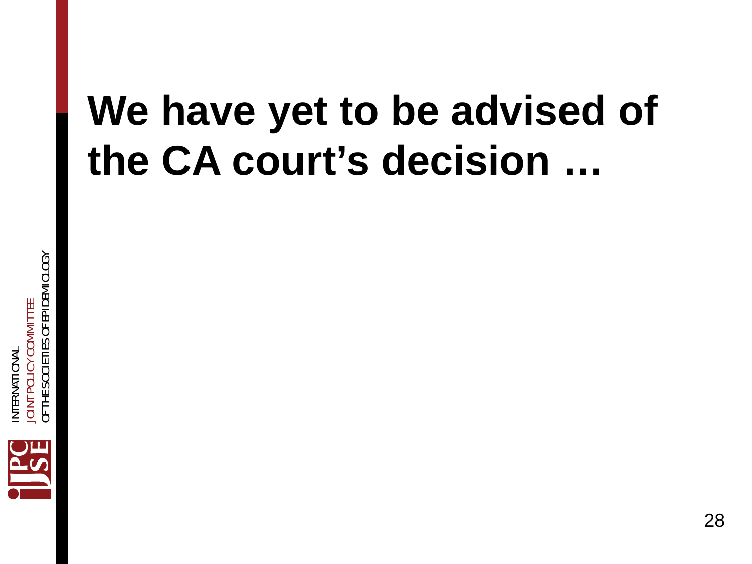# **We have yet to be advised of the CA court's decision …**

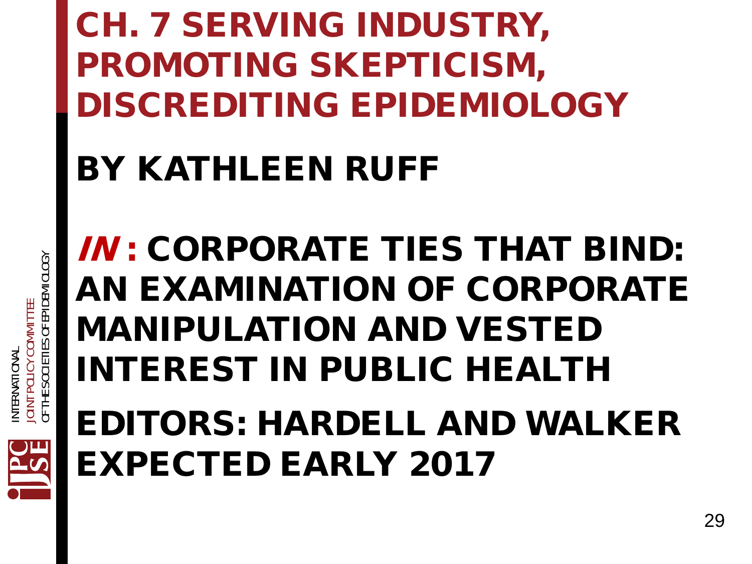#### CH. 7 SERVING INDUSTRY, PROMOTING SKEPTICISM, DISCREDITING EPIDEMIOLOGY

#### BY KATHLEEN RUFF

IN : CORPORATE TIES THAT BIND: AN EXAMINATION OF CORPORATE MANIPULATION AND VESTED INTEREST IN PUBLIC HEALTH

EDITORS: HARDELL AND WALKER EXPECTED EARLY 2017

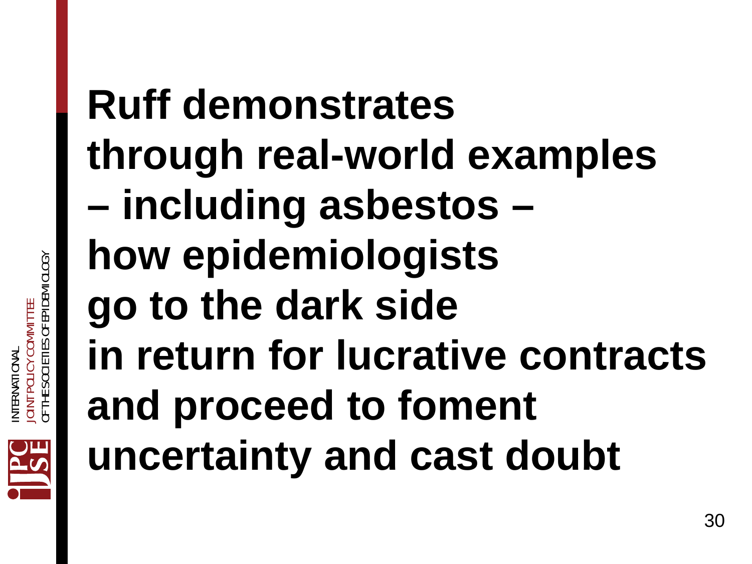# **Ruff demonstrates through real-world examples – including asbestos – how epidemiologists go to the dark side in return for lucrative contracts and proceed to foment uncertainty and cast doubt**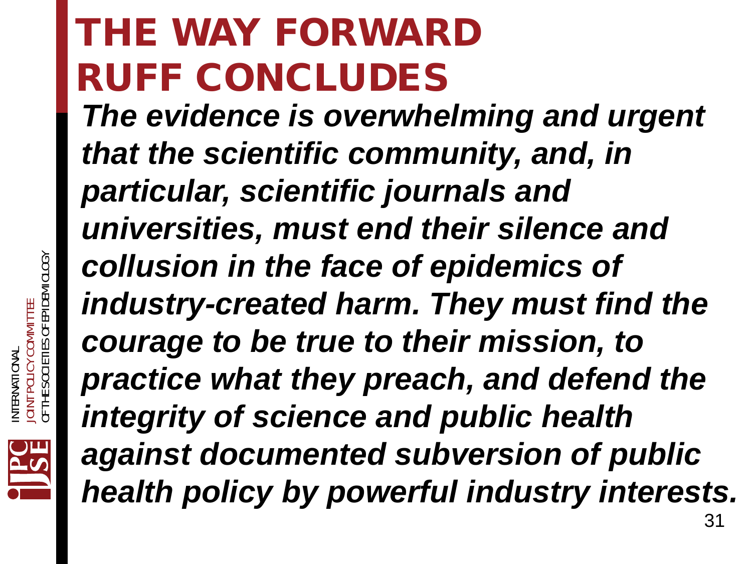# THE WAY FORWARD RUFF CONCLUDES

*The evidence is overwhelming and urgent that the scientific community, and, in particular, scientific journals and universities, must end their silence and collusion in the face of epidemics of industry-created harm. They must find the courage to be true to their mission, to practice what they preach, and defend the integrity of science and public health against documented subversion of public health policy by powerful industry interests.*

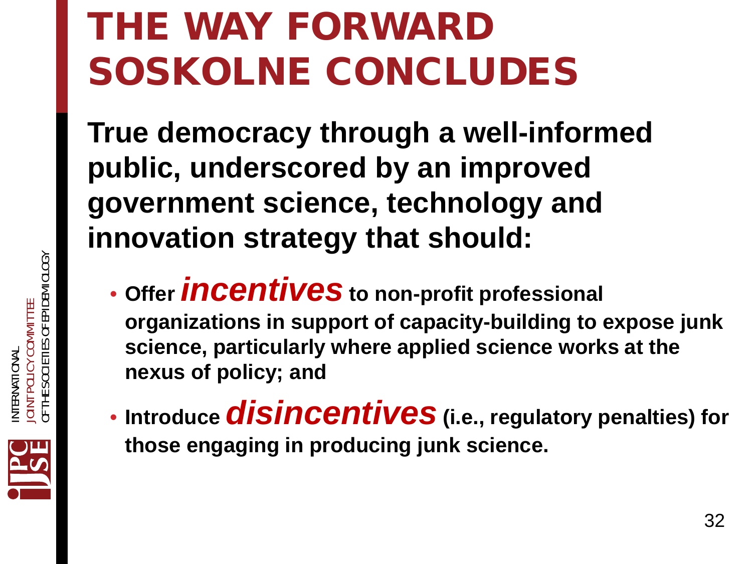# THE WAY FORWARD SOSKOLNE CONCLUDES

**True democracy through a well-informed public, underscored by an improved government science, technology and innovation strategy that should:**

- **Offer** *incentives* **to non-profit professional organizations in support of capacity-building to expose junk science, particularly where applied science works at the nexus of policy; and**
- **Introduce** *disincentives* **(i.e., regulatory penalties) for those engaging in producing junk science.**